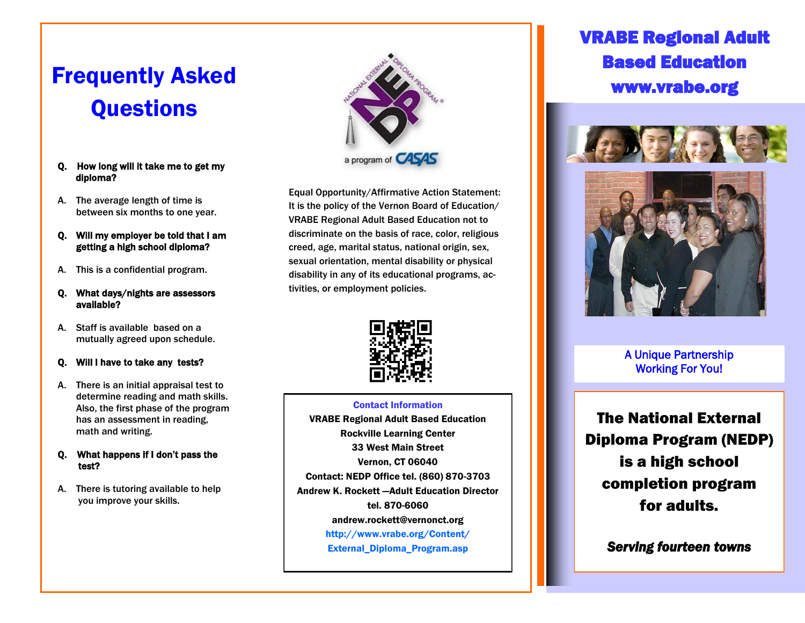# Frequently Asked **Questions**

- Q. How long will it take me to get my diploma?
- A. The average length of time is between six months to one year.
- Q. Will my employer be told that I am getting a high school diploma?
- A. This is a confidential program.
- Q. What days/nights are assessors available?
- A. Staff is available based on a mutually agreed upon schedule.

#### Q. Will I have to take any tests?

- A. There is an initial appraisal test to determine reading and math skills. Also, the first phase of the program has an assessment in reading, math and writing.
- Q. What happens if I don't pass the test?
- A. There is tutoring available to help you improve your skills.



Equal Opportunity/Affirmative Action Statement: It is the policy of the Vernon Board of Education/ VRABE Regional Adult Based Education not to discriminate on the basis of race, color, religious creed, age, marital status, national origin, sex, sexual orientation, mental disability or physical disability in any of its educational programs, activities, or employment policies.



#### Contact Information

VRABE Regional Adult Based Education (Colem<mark>ent – Fineeded)</mark> Rockville Learning Center 33 West Main Street Vernon, CT 06040 Contact: NEDP Office tel. (860) 870-3703 Andrew K. Rockett —Adult Education Director tel. 870-6060 andrew.rockett@vernonct.org [http://www.vrabe.org/Content/](http://www.vrabe.org/Content/External_Diploma_Program.asp) [External\\_Diploma\\_Program.asp](http://www.vrabe.org/Content/External_Diploma_Program.asp)

# VRABE Regional Adult Based Education www.vrabe.org





A Unique Partnership Working For You!

The National External Diploma Program (NEDP) is a high school completion program for adults.

*Serving fourteen towns*